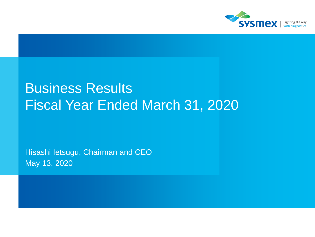

# Business Results Fiscal Year Ended March 31, 2020

Hisashi Ietsugu, Chairman and CEO May 13, 2020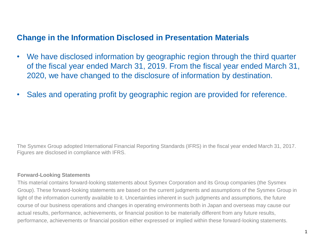## **Change in the Information Disclosed in Presentation Materials**

- We have disclosed information by geographic region through the third quarter of the fiscal year ended March 31, 2019. From the fiscal year ended March 31, 2020, we have changed to the disclosure of information by destination.
- Sales and operating profit by geographic region are provided for reference.

The Sysmex Group adopted International Financial Reporting Standards (IFRS) in the fiscal year ended March 31, 2017. Figures are disclosed in compliance with IFRS.

#### **Forward-Looking Statements**

This material contains forward-looking statements about Sysmex Corporation and its Group companies (the Sysmex Group). These forward-looking statements are based on the current judgments and assumptions of the Sysmex Group in light of the information currently available to it. Uncertainties inherent in such judgments and assumptions, the future course of our business operations and changes in operating environments both in Japan and overseas may cause our actual results, performance, achievements, or financial position to be materially different from any future results, performance, achievements or financial position either expressed or implied within these forward-looking statements.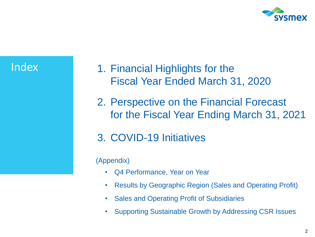

# **Index**

- 1. Financial Highlights for the Fiscal Year Ended March 31, 2020
- 2. Perspective on the Financial Forecast for the Fiscal Year Ending March 31, 2021
- 3. COVID-19 Initiatives

### (Appendix)

- Q4 Performance, Year on Year
- Results by Geographic Region (Sales and Operating Profit)
- Sales and Operating Profit of Subsidiaries
- Supporting Sustainable Growth by Addressing CSR Issues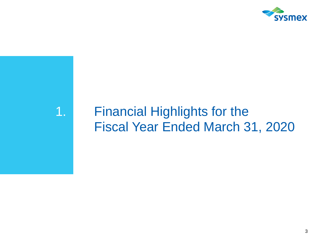

# 1. Financial Highlights for the Fiscal Year Ended March 31, 2020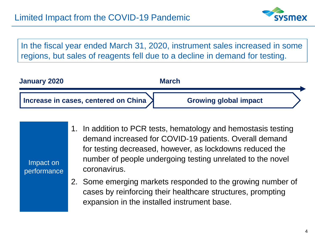

In the fiscal year ended March 31, 2020, instrument sales increased in some regions, but sales of reagents fell due to a decline in demand for testing.

| <b>January 2020</b>                    | <b>March</b>                 |  |
|----------------------------------------|------------------------------|--|
| Increase in cases, centered on China > | <b>Growing global impact</b> |  |

| Impact on<br>performance | 1. In addition to PCR tests, hematology and hemostasis testing<br>demand increased for COVID-19 patients. Overall demand<br>for testing decreased, however, as lockdowns reduced the<br>number of people undergoing testing unrelated to the novel<br>coronavirus. |
|--------------------------|--------------------------------------------------------------------------------------------------------------------------------------------------------------------------------------------------------------------------------------------------------------------|
|                          | 2. Some emerging markets responded to the growing number of<br>cases by reinforcing their healthcare structures, prompting<br>expansion in the installed instrument base.                                                                                          |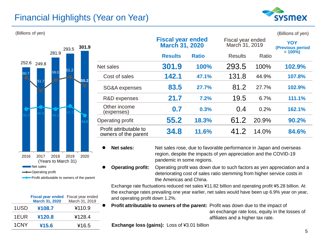# Financial Highlights (Year on Year)





|      | <b>Fiscal year ended</b><br><b>March 31, 2020</b> | Fiscal year ended<br>March 31, 2019 |  |
|------|---------------------------------------------------|-------------------------------------|--|
| 1USD | ¥108.7                                            | ¥110.9                              |  |
| 1EUR | ¥120.8                                            | ¥128.4                              |  |
| 1CNY | ¥15.6                                             | ¥16.5                               |  |

| (Billions of yen) |       |       |                                                |                                                   |              |                                     |       | (Billions of yen)              |
|-------------------|-------|-------|------------------------------------------------|---------------------------------------------------|--------------|-------------------------------------|-------|--------------------------------|
|                   | 293.5 | 301.9 |                                                | <b>Fiscal year ended</b><br><b>March 31, 2020</b> |              | Fiscal year ended<br>March 31, 2019 |       | <b>YOY</b><br>(Previous period |
|                   | 281.9 |       |                                                | <b>Results</b>                                    | <b>Ratio</b> | <b>Results</b>                      | Ratio | $= 100\%$                      |
| 252.6<br>249.8    | 61.2  |       | Net sales                                      | 301.9                                             | 100%         | 293.5                               | 100%  | 102.9%                         |
| 60.7<br>51.7      | 59.0  | 55.2  | Cost of sales                                  | 142.1                                             | 47.1%        | 131.8                               | 44.9% | 107.8%                         |
|                   |       |       | SG&A expenses                                  | 83.5                                              | 27.7%        | 81.2                                | 27.7% | 102.9%                         |
|                   |       |       | R&D expenses                                   | 21.7                                              | 7.2%         | 19.5                                | 6.7%  | 111.1%                         |
|                   |       |       | Other income<br>(expenses)                     | 0.7                                               | 0.3%         | 0.4                                 | 0.2%  | 162.1%                         |
|                   |       |       | Operating profit                               | 55.2                                              | 18.3%        | 61.2                                | 20.9% | 90.2%                          |
|                   |       |       | Profit attributable to<br>owners of the parent | 34.8                                              | 11.6%        | 41.2                                | 14.0% | 84.6%                          |
|                   |       |       |                                                |                                                   |              |                                     |       |                                |

⚫ **Net sales:** Net sales rose, due to favorable performance in Japan and overseas region, despite the impacts of yen appreciation and the COVID-19 pandemic in some regions.

⚫ **Operating profit:** Operating profit was down due to such factors as yen appreciation and a deteriorating cost of sales ratio stemming from higher service costs in the Americas and China.

Exchange rate fluctuations reduced net sales ¥11.82 billion and operating profit ¥5.28 billion. At the exchange rates prevailing one year earlier, net sales would have been up 6.9% year on year, and operating profit down 1.2%.

⚫ **Profit attributable to owners of the parent:** Profit was down due to the impact of an exchange rate loss, equity in the losses of affiliates and a higher tax rate.

**Exchange loss (gains):** Loss of ¥3.01 billion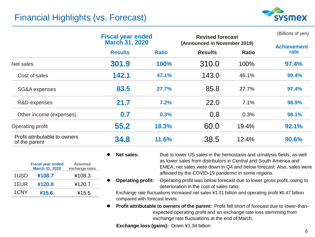# Financial Highlights (vs. Forecast)



|                                                | <b>Fiscal year ended</b><br><b>March 31, 2020</b> |              | <b>Revised forecast</b><br>(Announced in November 2019) |              | (Billions of yen)          |
|------------------------------------------------|---------------------------------------------------|--------------|---------------------------------------------------------|--------------|----------------------------|
|                                                | <b>Results</b>                                    | <b>Ratio</b> | <b>Results</b>                                          | <b>Ratio</b> | <b>Achievement</b><br>rate |
| Net sales                                      | 301.9                                             | 100%         | 310.0                                                   | 100%         | 97.4%                      |
| Cost of sales                                  | 142.1                                             | 47.1%        | 143.0                                                   | 46.1%        | 99.4%                      |
| SG&A expenses                                  | 83.5                                              | 27.7%        | 85.8                                                    | 27.7%        | 97.4%                      |
| R&D expenses                                   | 21.7                                              | 7.2%         | 22.0                                                    | 7.1%         | 98.9%                      |
| Other income (expenses)                        | 0.7                                               | 0.3%         | 0.8                                                     | 0.3%         | 98.1%                      |
| Operating profit                               | 55.2                                              | 18.3%        | 60.0                                                    | 19.4%        | 92.1%                      |
| Profit attributable to owners<br>of the parent | 34.8                                              | 11.6%        | 38.5                                                    | 12.4%        | 90.6%                      |

|      | <b>Fiscal year ended</b><br><b>March 31, 2020</b> | Assumed<br>exchange rates |
|------|---------------------------------------------------|---------------------------|
| 1USD | ¥108.7                                            | ¥108.3                    |
| 1EUR | ¥120.8                                            | ¥120.7                    |
| 1CNY | ¥15.6                                             | ¥15.5                     |

- Net sales: Due to lower US sales in the hemostasis and urinalysis fields, as well as lower sales from distributors in Central and South America and EMEA, net sales were down in Q4 and below forecast. Also, sales were affected by the COVID-19 pandemic in some regions.
- ⚫ **Operating profit:** Operating profit was below forecast due to lower gross profit, owing to deterioration in the cost of sales ratio.

Exchange rate fluctuations increased net sales ¥1.01 billion and operating profit ¥0.47 billion compared with forecast levels.

⚫ **Profit attributable to owners of the parent:** Profit fell short of forecast due to lower-thanexpected operating profit and an exchange rate loss stemming from exchange rate fluctuations at the end of March.

**Exchange loss (gains):** Down ¥1.34 billion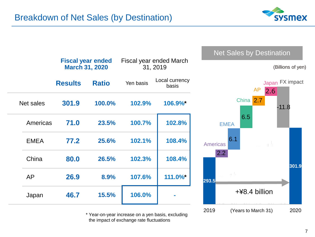

|             |                | <b>Fiscal year ended</b><br><b>March 31, 2020</b> | Fiscal year ended March<br>31, 2019 |                         |  |
|-------------|----------------|---------------------------------------------------|-------------------------------------|-------------------------|--|
|             | <b>Results</b> | <b>Ratio</b>                                      | Yen basis                           | Local currency<br>basis |  |
| Net sales   | 301.9          | 100.0%                                            | 102.9%                              | 106.9%*                 |  |
| Americas    | 71.0           | 23.5%                                             | 100.7%                              | 102.8%                  |  |
| <b>EMEA</b> | 77.2           | 25.6%                                             | 102.1%                              | 108.4%                  |  |
| China       | 80.0           | 26.5%                                             | 102.3%                              | 108.4%                  |  |
| AP          | 26.9           | 8.9%                                              | 107.6%                              | 111.0%*                 |  |
| Japan       | 46.7           | 15.5%                                             | 106.0%                              |                         |  |

\* Year-on-year increase on a yen basis, excluding the impact of exchange rate fluctuations





Net Sales by Destination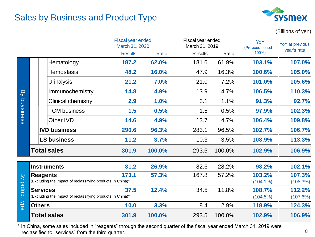# Sales by Business and Product Type



(Billions of yen)

|            |                 |                                                            | Fiscal year ended<br>March 31, 2020 |        | Fiscal year ended<br>March 31, 2019 |        | YoY<br>(Previous period = | <b>YoY</b> at previous<br>year's rate |
|------------|-----------------|------------------------------------------------------------|-------------------------------------|--------|-------------------------------------|--------|---------------------------|---------------------------------------|
|            |                 |                                                            | <b>Results</b>                      | Ratio  | <b>Results</b>                      | Ratio  | 100%)                     |                                       |
|            |                 | Hematology                                                 | 187.2                               | 62.0%  | 181.6                               | 61.9%  | 103.1%                    | 107.0%                                |
|            |                 | <b>Hemostasis</b>                                          | 48.2                                | 16.0%  | 47.9                                | 16.3%  | 100.6%                    | 105.0%                                |
|            |                 | <b>Urinalysis</b>                                          | 21.2                                | 7.0%   | 21.0                                | 7.2%   | 101.0%                    | 105.6%                                |
| <b>B</b>   |                 | Immunochemistry                                            | 14.8                                | 4.9%   | 13.9                                | 4.7%   | 106.5%                    | 110.3%                                |
|            |                 | Clinical chemistry                                         | 2.9                                 | 1.0%   | 3.1                                 | 1.1%   | 91.3%                     | 92.7%                                 |
| buysiness  |                 | <b>FCM</b> business                                        | 1.5                                 | 0.5%   | 1.5                                 | 0.5%   | 97.9%                     | 102.3%                                |
|            |                 | Other IVD                                                  | 14.6                                | 4.9%   | 13.7                                | 4.7%   | 106.4%                    | 109.8%                                |
|            |                 | <b>IVD business</b>                                        | 290.6                               | 96.3%  | 283.1                               | 96.5%  | 102.7%                    | 106.7%                                |
|            |                 | <b>LS business</b>                                         | 11.2                                | 3.7%   | 10.3                                | 3.5%   | 108.9%                    | 113.3%                                |
|            |                 | <b>Total sales</b>                                         | 301.9                               | 100.0% | 293.5                               | 100.0% | 102.9%                    | 106.9%                                |
|            |                 | <b>Instruments</b>                                         | 81.2                                | 26.9%  | 82.6                                | 28.2%  | 98.2%                     | 102.1%                                |
| <b>B</b>   | <b>Reagents</b> |                                                            | 173.1                               | 57.3%  | 167.8                               | 57.2%  | 103.2%                    | 107.3%                                |
|            |                 | (Excluding the impact of reclassifying products in China)* |                                     |        |                                     |        | $(104.1\%)$               | (108.3%)                              |
| prduct typ | <b>Services</b> |                                                            | 37.5                                | 12.4%  | 34.5                                | 11.8%  | 108.7%                    | 112.2%                                |
|            |                 | (Excluding the impact of reclassifying products in China)* |                                     |        |                                     |        | (104.5%)                  | (107.6%)                              |
| $\sigma$   | <b>Others</b>   |                                                            | 10.0                                | 3.3%   | 8.4                                 | 2.9%   | 118.9%                    | 124.3%                                |
|            |                 | <b>Total sales</b>                                         | 301.9                               | 100.0% | 293.5                               | 100.0% | 102.9%                    | 106.9%                                |

\* In China, some sales included in "reagents" through the second quarter of the fiscal year ended March 31, 2019 were reclassified to "services" from the third quarter.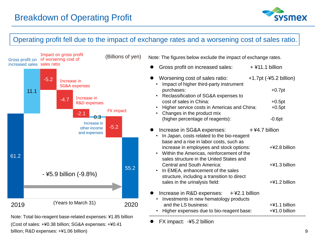

#### Operating profit fell due to the impact of exchange rates and a worsening cost of sales ratio.



(Cost of sales: +¥0.38 billion; SG&A expenses: +¥0.41 billion; R&D expenses: +¥1.06 billion)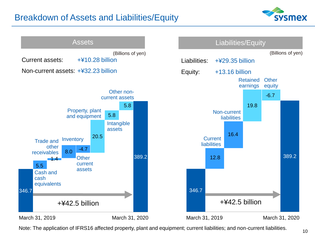# Breakdown of Assets and Liabilities/Equity





Note: The application of IFRS16 affected property, plant and equipment; current liabilities; and non-current liabilities.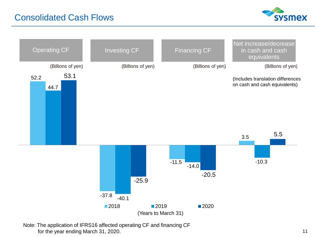# Consolidated Cash Flows





Note: The application of IFRS16 affected operating CF and financing CF for the year ending March 31, 2020.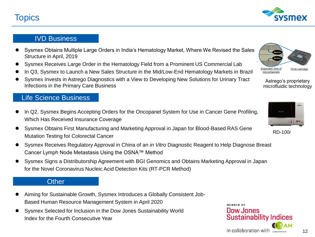# **Topics**

#### IVD Business

- ⚫ Sysmex Obtains Multiple Large Orders in India's Hematology Market, Where We Revised the Sales Structure in April, 2019
- ⚫ Sysmex Receives Large Order in the Hematology Field from a Prominent US Commercial Lab
- ⚫ In Q3, Sysmex to Launch a New Sales Structure in the Mid/Low-End Hematology Markets in Brazil
- ⚫ Sysmex Invests in Astrego Diagnostics with a View to Developing New Solutions for Urinary Tract Infections in the Primary Care Business

#### Life Science Business

- In Q2, Sysmex Begins Accepting Orders for the Oncopanel System for Use in Cancer Gene Profiling, Which Has Received Insurance Coverage
- ⚫ Sysmex Obtains First Manufacturing and Marketing Approval in Japan for Blood-Based RAS Gene Mutation Testing for Colorectal Cancer
- ⚫ Sysmex Receives Regulatory Approval in China of an *in Vitro* Diagnostic Reagent to Help Diagnose Breast Cancer Lymph Node Metastasis Using the OSNA™ Method
- ⚫ Sysmex Signs a Distributorship Agreement with BGI Genomics and Obtains Marketing Approval in Japan for the Novel Coronavirus Nucleic Acid Detection Kits (RT-PCR Method)

#### **Other**

- ⚫ Aiming for Sustainable Growth, Sysmex Introduces a Globally Consistent Job-Based Human Resource Management System in April 2020
- ⚫ Sysmex Selected for Inclusion in the Dow Jones Sustainability World Index for the Fourth Consecutive Year



Astrego's proprietary microfluidic technology



MEMRER OF

Dow Jones

In collaboration with

**Sustainability Indices** 



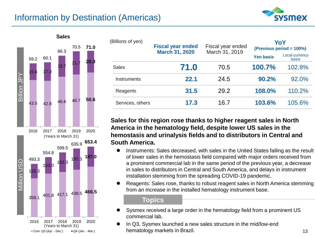# Information by Destination (Americas)





| (Billions of yen) | <b>Fiscal year ended</b><br><b>March 31, 2020</b> | Fiscal year ended<br>March 31, 2019 | YoY<br>(Previous period = 100%) |                                |  |
|-------------------|---------------------------------------------------|-------------------------------------|---------------------------------|--------------------------------|--|
|                   |                                                   |                                     | <b>Yen basis</b>                | <b>Local currency</b><br>basis |  |
| <b>Sales</b>      | 71.0                                              | 70.5                                | 100.7%                          | 102.8%                         |  |
| Instruments       | 22.1                                              | 24.5                                | 90.2%                           | 92.0%                          |  |
| Reagents          | 31.5                                              | 29.2                                | 108.0%                          | 110.2%                         |  |
| Services, others  | 17.3                                              | 16.7                                | 103.6%                          | 105.6%                         |  |

**Sales for this region rose thanks to higher reagent sales in North America in the hematology field, despite lower US sales in the hemostasis and urinalysis fields and to distributors in Central and South America.**

- Instruments: Sales decreased, with sales in the United States falling as the result of lower sales in the hemostasis field compared with major orders received from a prominent commercial lab in the same period of the previous year, a decrease in sales to distributors in Central and South America, and delays in instrument installation stemming from the spreading COVID-19 pandemic.
- ⚫ Reagents: Sales rose, thanks to robust reagent sales in North America stemming from an increase in the installed hematology instrument base.

#### **Topics**

- Sysmex received a large order in the hematology field from a prominent US commercial lab.
- ⚫ In Q3, Sysmex launched a new sales structure in the mid/low-end hematology markets in Brazil.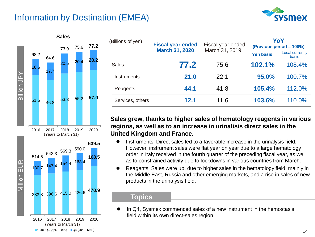# Information by Destination (EMEA)





| (Billions of yen) | <b>Fiscal year ended</b> | Fiscal year ended | YoY<br>(Previous period = 100%) |                                       |  |
|-------------------|--------------------------|-------------------|---------------------------------|---------------------------------------|--|
|                   | <b>March 31, 2020</b>    | March 31, 2019    | <b>Yen basis</b>                | <b>Local currency</b><br><b>basis</b> |  |
| <b>Sales</b>      | 77.2                     | 75.6              | 102.1%                          | 108.4%                                |  |
| Instruments       | 21.0                     | 22.1              | 95.0%                           | 100.7%                                |  |
| Reagents          | 44.1                     | 41.8              | 105.4%                          | 112.0%                                |  |
| Services, others  | 12.1                     | 11.6              | 103.6%                          | 110.0%                                |  |

#### **Sales grew, thanks to higher sales of hematology reagents in various regions, as well as to an increase in urinalisis direct sales in the United Kingdom and France.**

- ⚫ Instruments: Direct sales led to a favorable increase in the urinalysis field. However, instrument sales were flat year on year due to a large hematology order in Italy received in the fourth quarter of the preceding fiscal year, as well as to constrained activity due to lockdowns in various countries from March.
- ⚫ Reagents: Sales were up, due to higher sales in the hematology field, mainly in the Middle East, Russia and other emerging markets, and a rise in sales of new products in the urinalysis field.

#### **Topics**

In Q4, Sysmex commenced sales of a new instrument in the hemostasis field within its own direct-sales region.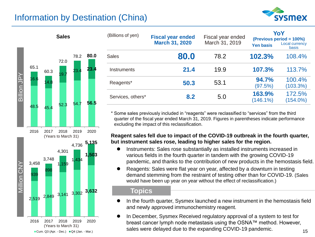# Information by Destination (China)





| <b>Sales</b> |      |      | (Billions of yen) | <b>Fiscal year ended</b><br><b>March 31, 2020</b> | Fiscal year ended<br>March 31, 2019 | <b>Yen basis</b>      | YoY<br>(Previous period = 100%)<br>Local currency<br><b>basis</b> |
|--------------|------|------|-------------------|---------------------------------------------------|-------------------------------------|-----------------------|-------------------------------------------------------------------|
| 72.0         | 78.2 | 80.0 | <b>Sales</b>      | 80.0                                              | 78.2                                | 102.3%                | 108.4%                                                            |
| 19.          | 23.4 | 23.4 | Instruments       | 21.4                                              | 19.9                                | 107.3%                | 113.7%                                                            |
|              |      |      | Reagents*         | 50.3                                              | 53.1                                | 94.7%<br>(97.5%)      | 100.4%<br>(103.3%)                                                |
| ro o         | 54.7 | 56.5 | Services, others* | 8.2                                               | 5.0                                 | 163.9%<br>$(146.1\%)$ | 172.5%<br>$(154.0\%)$                                             |

\* Some sales previously included in "reagents" were reclassified to "services" from the third quarter of the fiscal year ended March 31, 2019. Figures in parentheses indicate performance excluding the impact of this reclassification.

#### **Reagent sales fell due to impact of the COVID-19 outbreak in the fourth quarter, but instrument sales rose, leading to higher sales for the region.**

- ⚫ Instruments: Sales rose substantially as installed instruments increased in various fields in the fourth quarter in tandem with the growing COVID-19 pandemic, and thanks to the contribution of new products in the hemostasis field.
- ⚫ Reagents: Sales were flat year on year, affected by a downturn in testing demand stemming from the restraint of testing other than for COVID-19. (Sales would have been up year on year without the effect of reclassification.)

#### **Topics**

- ⚫ In the fourth quarter, Sysmex launched a new instrument in the hemostasis field and newly approved immunochemistry reagent.
- ⚫ In December, Sysmex Received regulatory approval of a system to test for breast cancer lymph node metastasis using the OSNA™ method. However, sales various sympthics included admig and contract means (Years to March 31)<br>Sales were delayed due to the expanding COVID-19 pandemic.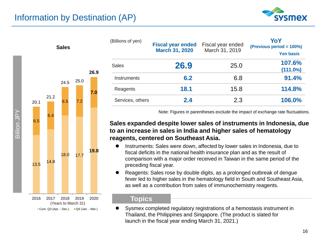



| (Billions of yen) | <b>Fiscal year ended</b><br><b>March 31, 2020</b> | Fiscal year ended<br>March 31, 2019 | YoY<br>(Previous period = 100%)<br><b>Yen basis</b> |
|-------------------|---------------------------------------------------|-------------------------------------|-----------------------------------------------------|
| Sales             | 26.9                                              | 25.0                                | 107.6%<br>(111.0%)                                  |
| Instruments       | 6.2                                               | 6.8                                 | 91.4%                                               |
| Reagents          | 18.1                                              | 15.8                                | 114.8%                                              |
| Services, others  | 2.4                                               | 2.3                                 | 106.0%                                              |

Note: Figures in parentheses exclude the impact of exchange rate fluctuations.

#### **Sales expanded despite lower sales of instruments in Indonesia, due to an increase in sales in India and higher sales of hematology reagents, centered on Southeast Asia.**

- ⚫ Instruments: Sales were down, affected by lower sales in Indonesia, due to fiscal deficits in the national health insurance plan and as the result of comparison with a major order received in Taiwan in the same period of the preceding fiscal year.
- ⚫ Reagents: Sales rose by double digits, as a prolonged outbreak of dengue fever led to higher sales in the hematology field in South and Southeast Asia, as well as a contribution from sales of immunochemistry reagents.

#### **Topics**

⚫ Sysmex completed regulatory registrations of a hemostasis instrument in Thailand, the Philippines and Singapore. (The product is slated for launch in the fiscal year ending March 31, 2021.)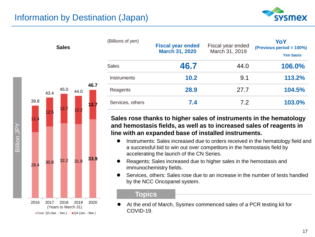**Sales**

**12.7** 

**46.7** 



| (Billions of yen) | <b>Fiscal year ended</b><br><b>March 31, 2020</b> | Fiscal year ended<br>March 31, 2019 | YoY<br>(Previous period = 100%)<br><b>Yen basis</b> |
|-------------------|---------------------------------------------------|-------------------------------------|-----------------------------------------------------|
| <b>Sales</b>      | 46.7                                              | 44.0                                | 106.0%                                              |
| Instruments       | 10.2                                              | 9.1                                 | 113.2%                                              |
| Reagents          | 28.9                                              | 27.7                                | 104.5%                                              |
| Services, others  | 7.4                                               | 7.2                                 | 103.0%                                              |

**Sales rose thanks to higher sales of instruments in the hematology and hemostasis fields, as well as to increased sales of reagents in line with an expanded base of installed instruments.** 

- Instruments: Sales increased due to orders received in the hematology field and a successful bid to win out over competitors in the hemostasis field by accelerating the launch of the CN Series.
- ⚫ Reagents: Sales increased due to higher sales in the hemostasis and immunochemistry fields.
- ⚫ Services, others: Sales rose due to an increase in the number of tests handled by the NCC Oncopanel system.

#### **Topics**

⚫ At the end of March, Sysmex commenced sales of a PCR testing kit for COVID-19.





Cum. Q3 (Apr. - Dec.)  $\Box$  Q4 (Jan. - Mar.)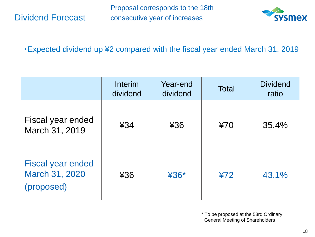Dividend Forecast



### ・Expected dividend up ¥2 compared with the fiscal year ended March 31, 2019

|                                                          | Interim<br>dividend | Year-end<br>dividend | <b>Total</b> | <b>Dividend</b><br>ratio |
|----------------------------------------------------------|---------------------|----------------------|--------------|--------------------------|
| Fiscal year ended<br>March 31, 2019                      | 434                 | ¥36                  | 470          | 35.4%                    |
| <b>Fiscal year ended</b><br>March 31, 2020<br>(proposed) | 436                 | $436*$               | 472          | 43.1%                    |

\* To be proposed at the 53rd Ordinary General Meeting of Shareholders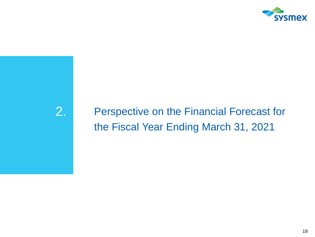

# 2. Perspective on the Financial Forecast for the Fiscal Year Ending March 31, 2021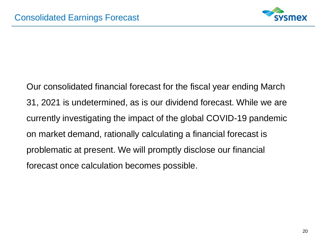

Our consolidated financial forecast for the fiscal year ending March 31, 2021 is undetermined, as is our dividend forecast. While we are currently investigating the impact of the global COVID-19 pandemic on market demand, rationally calculating a financial forecast is problematic at present. We will promptly disclose our financial forecast once calculation becomes possible.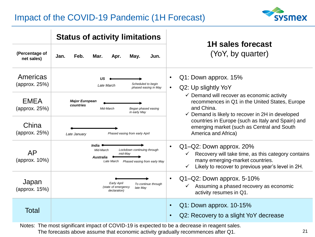# Impact of the COVID-19 Pandemic (1H Forecast)



|                                                                                               | <b>Status of activity limitations</b>                                                                                          | 1H sales forecast                                                                                                                                                                                  |  |  |  |
|-----------------------------------------------------------------------------------------------|--------------------------------------------------------------------------------------------------------------------------------|----------------------------------------------------------------------------------------------------------------------------------------------------------------------------------------------------|--|--|--|
| (Percentage of<br>net sales)                                                                  | Feb.<br>Jan.<br>Mar.<br>Apr.<br>May.<br>Jun.                                                                                   | (YoY, by quarter)                                                                                                                                                                                  |  |  |  |
| Americas<br>(approx. $25\%)$                                                                  | บร<br>Scheduled to begin<br>Late March<br>phased easing in May                                                                 | Q1: Down approx. 15%<br>$\bullet$<br>Q2: Up slightly YoY<br>$\bullet$                                                                                                                              |  |  |  |
| <b>EMEA</b><br>(approx. 25%)                                                                  | <b>Major European</b><br>countries<br>Began phased easing<br>Mid-March<br>in early May                                         | $\checkmark$ Demand will recover as economic activity<br>recommences in Q1 in the United States, Europe<br>and China.<br>$\checkmark$ Demand is likely to recover in 2H in developed               |  |  |  |
| China<br>(approx. 25%)                                                                        | Phased easing from early April<br>Late January                                                                                 | countries in Europe (such as Italy and Spain) and<br>emerging market (such as Central and South<br>America and Africa)                                                                             |  |  |  |
| <b>AP</b><br>(approx. 10%)                                                                    | India $\bullet$<br>Mid-March<br>Lockdown continuing through<br>mid-May<br>Australia<br>Late March Phased easing from early May | Q1-Q2: Down approx. 20%<br>$\bullet$<br>Recovery will take time, as this category contains<br>many emerging-market countries.<br>Likely to recover to previous year's level in 2H.<br>$\checkmark$ |  |  |  |
| Japan<br>(approx. 15%)                                                                        | Early April<br>To continue through<br>(state of emergency<br>late May<br>declaration)                                          | Q1-Q2: Down approx. 5-10%<br>Assuming a phased recovery as economic<br>activity resumes in Q1.                                                                                                     |  |  |  |
| Total                                                                                         |                                                                                                                                | Q1: Down approx. 10-15%<br>Q2: Recovery to a slight YoY decrease                                                                                                                                   |  |  |  |
| Notes: The most significant impact of COVID-19 is expected to be a decrease in reagent sales. |                                                                                                                                |                                                                                                                                                                                                    |  |  |  |

The forecasts above assume that economic activity gradually recommences after Q1.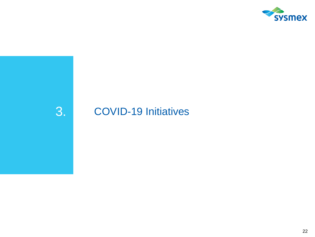

# 3. COVID-19 Initiatives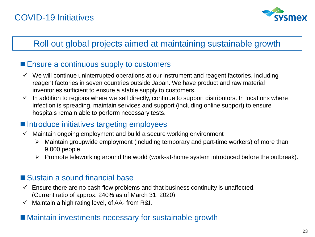

# Roll out global projects aimed at maintaining sustainable growth

### ■ Ensure a continuous supply to customers

- $\checkmark$  We will continue uninterrupted operations at our instrument and reagent factories, including reagent factories in seven countries outside Japan. We have product and raw material inventories sufficient to ensure a stable supply to customers.
- $\checkmark$  In addition to regions where we sell directly, continue to support distributors. In locations where infection is spreading, maintain services and support (including online support) to ensure hospitals remain able to perform necessary tests.

# ■ Introduce initiatives targeting employees

- $\checkmark$  Maintain ongoing employment and build a secure working environment
	- ➢ Maintain groupwide employment (including temporary and part-time workers) of more than 9,000 people.
	- $\triangleright$  Promote teleworking around the world (work-at-home system introduced before the outbreak).

# ■ Sustain a sound financial base

- $\checkmark$  Ensure there are no cash flow problems and that business continuity is unaffected. (Current ratio of approx. 240% as of March 31, 2020)
- $\checkmark$  Maintain a high rating level, of AA- from R&I.

### ■ Maintain investments necessary for sustainable growth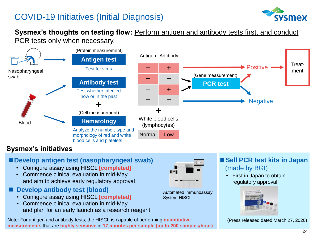

#### **Sysmex's thoughts on testing flow:** Perform antigen and antibody tests first, and conduct PCR tests only when necessary.



### **Sysmex's initiatives**

#### **■Develop antigen test (nasopharyngeal swab)**

- Configure assay using HISCL **[completed]**
- Commence clinical evaluation in mid-May, and aim to achieve early regulatory approval
- **Develop antibody test (blood)** 
	- Configure assay using HISCL **[completed]**
	- Commence clinical evaluation in mid-May, and plan for an early launch as a research reagent





Automated Immunoassay System HISCL

### ■**Sell PCR test kits in Japan** (made by BGI)

• First in Japan to obtain regulatory approval



(Press released dated March 27, 2020)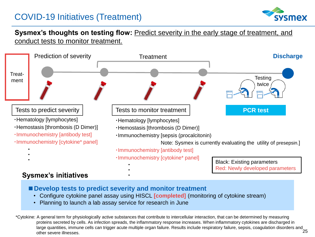# COVID-19 Initiatives (Treatment)



#### **Sysmex's thoughts on testing flow:** Predict severity in the early stage of treatment, and conduct tests to monitor treatment.



#### **Sysmex's initiatives**

■ Develop tests to predict severity and monitor treatment

**・**

- Configure cytokine panel assay using HISCL **[completed]** (monitoring of cytokine stream)
- Planning to launch a lab assay service for research in June

25 \*Cytokine: A general term for physiologically active substances that contribute to intercellular interaction, that can be determined by measuring proteins secreted by cells. As infection spreads, the inflammatory response increases. When inflammatory cytokines are discharged in large quantities, immune cells can trigger acute multiple organ failure. Results include respiratory failure, sepsis, coagulation disorders and other severe illnesses.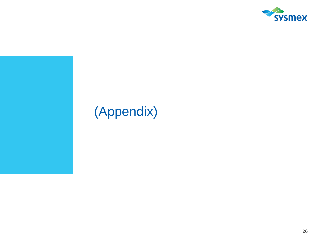

# (Appendix)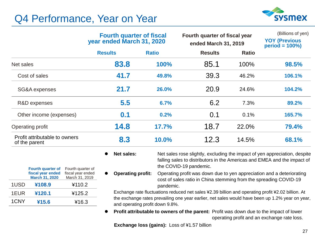# Q4 Performance, Year on Year

**Fourth quarter of fiscal year ended March 31, 2020**

1USD **¥108.9** ¥110.2

1EUR **¥120.1** ¥125.2 1CNY **¥15.6** ¥16.3

Fourth quarter of fiscal year ended March 31, 2019



|                                                | <b>Fourth quarter of fiscal</b><br>year ended March 31, 2020 |              | Fourth quarter of fiscal year<br>ended March 31, 2019 |              | (Billions of yen)<br><b>YOY (Previous</b><br>$period = 100\%)$ |
|------------------------------------------------|--------------------------------------------------------------|--------------|-------------------------------------------------------|--------------|----------------------------------------------------------------|
|                                                | <b>Results</b>                                               | <b>Ratio</b> | <b>Results</b>                                        | <b>Ratio</b> |                                                                |
| Net sales                                      | 83.8                                                         | 100%         | 85.1                                                  | 100%         | 98.5%                                                          |
| Cost of sales                                  | 41.7                                                         | 49.8%        | 39.3                                                  | 46.2%        | 106.1%                                                         |
| SG&A expenses                                  | 21.7                                                         | 26.0%        | 20.9                                                  | 24.6%        | 104.2%                                                         |
| R&D expenses                                   | 5.5                                                          | 6.7%         | 6.2                                                   | 7.3%         | 89.2%                                                          |
| Other income (expenses)                        | 0.1                                                          | 0.2%         | 0.1                                                   | 0.1%         | 165.7%                                                         |
| Operating profit                               | 14.8                                                         | 17.7%        | 18.7                                                  | 22.0%        | 79.4%                                                          |
| Profit attributable to owners<br>of the parent | 8.3                                                          | 10.0%        | 12.3                                                  | 14.5%        | 68.1%                                                          |

- **Net sales:** Net sales rose slightly, excluding the impact of yen appreciation, despite falling sales to distributors in the Americas and EMEA and the impact of the COVID-19 pandemic.
- ⚫ **Operating profit:** Operating profit was down due to yen appreciation and a deteriorating cost of sales ratio in China stemming from the spreading COVID-19 pandemic.

Exchange rate fluctuations reduced net sales ¥2.39 billion and operating profit ¥2.02 billion. At the exchange rates prevailing one year earlier, net sales would have been up 1.2% year on year, and operating profit down 9.8%.

⚫ **Profit attributable to owners of the parent:** Profit was down due to the impact of lower operating profit and an exchange rate loss.

**Exchange loss (gains):** Loss of ¥1.57 billion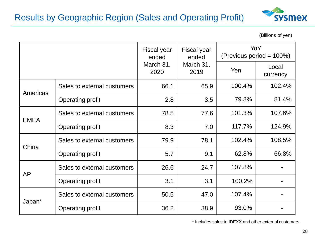

(Billions of yen)

|             |                             | <b>Fiscal year</b><br>ended | Fiscal year<br>ended<br>March 31,<br>2020<br>2019 |        | YoY<br>(Previous period = 100%) |  |
|-------------|-----------------------------|-----------------------------|---------------------------------------------------|--------|---------------------------------|--|
|             |                             | March 31,                   |                                                   |        | Local<br>currency               |  |
|             | Sales to external customers | 66.1                        | 65.9                                              | 100.4% | 102.4%                          |  |
| Americas    | <b>Operating profit</b>     | 2.8                         | 3.5                                               | 79.8%  | 81.4%                           |  |
| <b>EMEA</b> | Sales to external customers | 78.5                        | 77.6                                              | 101.3% | 107.6%                          |  |
|             | <b>Operating profit</b>     | 8.3                         | 7.0                                               | 117.7% | 124.9%                          |  |
| China       | Sales to external customers | 79.9                        | 78.1                                              | 102.4% | 108.5%                          |  |
|             | <b>Operating profit</b>     | 5.7                         | 9.1                                               | 62.8%  | 66.8%                           |  |
| AP          | Sales to external customers | 26.6                        | 24.7                                              | 107.8% |                                 |  |
|             | <b>Operating profit</b>     | 3.1                         | 3.1                                               | 100.2% |                                 |  |
| Japan*      | Sales to external customers | 50.5                        | 47.0                                              | 107.4% |                                 |  |
|             | <b>Operating profit</b>     | 36.2                        | 38.9                                              | 93.0%  |                                 |  |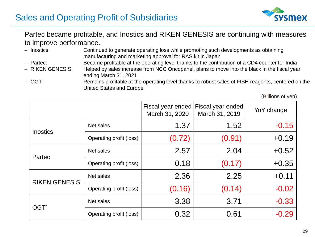

#### Partec became profitable, and Inostics and RIKEN GENESIS are continuing with measures to improve performance.

- Inostics: Continued to generate operating loss while promoting such developments as obtaining manufacturing and marketing approval for RAS kit in Japan
- Partec: Became profitable at the operating level thanks to the contribution of a CD4 counter for India
- RIKEN GENESIS: Helped by sales increase from NCC Oncopanel, plans to move into the black in the fiscal year ending March 31, 2021
- OGT: Remains profitable at the operating level thanks to robust sales of FISH reagents, centered on the United States and Europe

(Billions of yen)

|                      |                         | Fiscal year ended<br>March 31, 2020 | Fiscal year ended<br>March 31, 2019 | YoY change |
|----------------------|-------------------------|-------------------------------------|-------------------------------------|------------|
| <b>Inostics</b>      | Net sales               | 1.37                                | 1.52                                | $-0.15$    |
|                      | Operating profit (loss) | (0.72)                              | (0.91)                              | $+0.19$    |
| Partec               | Net sales               | 2.57                                | 2.04                                | $+0.52$    |
|                      | Operating profit (loss) | 0.18                                | (0.17)                              | $+0.35$    |
| <b>RIKEN GENESIS</b> | Net sales               | 2.36                                | 2.25                                | $+0.11$    |
|                      | Operating profit (loss) | (0.16)                              | (0.14)                              | $-0.02$    |
| OGT <sup>*</sup>     | Net sales               | 3.38                                | 3.71                                | $-0.33$    |
|                      | Operating profit (loss) | 0.32                                | 0.61                                | $-0.29$    |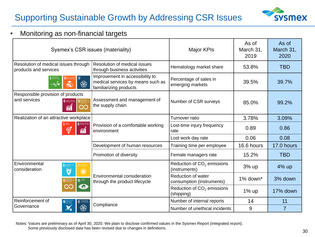# Supporting Sustainable Growth by Addressing CSR Issues



#### • Monitoring as non-financial targets

| Sysmex's CSR issues (materiality)                                                        | <b>Major KPIs</b>                                                                              | As of<br>March 31,<br>2019                              | As of<br>March 31,<br>2020 |                |
|------------------------------------------------------------------------------------------|------------------------------------------------------------------------------------------------|---------------------------------------------------------|----------------------------|----------------|
| Resolution of medical issues through<br>products and services                            | Resolution of medical issues<br>through business activities                                    | Hematology market share                                 | 53.8%                      | <b>TBD</b>     |
| ❀                                                                                        | Improvement in accessibility to<br>medical services by means such as<br>familiarizing products | Percentage of sales in<br>emerging markets              | 39.5%                      | 39.7%          |
| Responsible provision of products<br>and services<br><b>B</b> DECENT WORK AND<br>လ<br>îí | Assessment and management of<br>Number of CSR surveys<br>the supply chain                      |                                                         | 85.0%                      | 99.2%          |
| Realization of an attractive workplace                                                   |                                                                                                | Turnover ratio                                          | 3.78%                      | 3.09%          |
| <b>DECENT WORK A</b><br>ECONOMIC GROV<br>Θ                                               | Provision of a comfortable working<br>environment                                              | Lost-time injury frequency<br>rate                      | 0.89                       | 0.86           |
|                                                                                          |                                                                                                | Lost work day rate                                      | 0.06                       | 0.08           |
|                                                                                          | Development of human resources                                                                 | Training time per employee                              | 16.6 hours                 | 17.0 hours     |
|                                                                                          | Promotion of diversity                                                                         | Female managers rate                                    | 15.2%                      | <b>TBD</b>     |
| Environmental<br>consideration<br>Ţ                                                      |                                                                                                | Reduction of CO <sub>2</sub> emissions<br>(instruments) | 3% up                      | 4% up          |
|                                                                                          | Environmental consideration<br>through the product lifecycle                                   | <b>Reduction of water</b><br>consumption (instruments)  | 1% down*                   | 3% down        |
|                                                                                          |                                                                                                | Reduction of CO <sub>2</sub> emissions<br>(shipping)    | 1% up                      | 17% down       |
| Reinforcement of<br><b>17</b> PARTNERSHIPS                                               |                                                                                                | Number of internal reports                              | 14                         | 11             |
| Governance<br>❀                                                                          | Compliance                                                                                     | Number of unethical incidents                           | 9                          | $\overline{7}$ |

Notes: Values are preliminary as of April 30, 2020. We plain to disclose confirmed values in the Sysmex Report (integrated report). Some previously disclosed data has been revised due to changes in definitions.